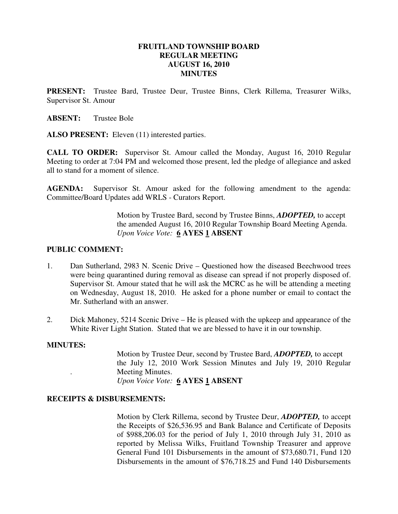### **FRUITLAND TOWNSHIP BOARD REGULAR MEETING AUGUST 16, 2010 MINUTES**

**PRESENT:** Trustee Bard, Trustee Deur, Trustee Binns, Clerk Rillema, Treasurer Wilks, Supervisor St. Amour

**ABSENT:** Trustee Bole

ALSO PRESENT: Eleven (11) interested parties.

**CALL TO ORDER:** Supervisor St. Amour called the Monday, August 16, 2010 Regular Meeting to order at 7:04 PM and welcomed those present, led the pledge of allegiance and asked all to stand for a moment of silence.

**AGENDA:** Supervisor St. Amour asked for the following amendment to the agenda: Committee/Board Updates add WRLS - Curators Report.

> Motion by Trustee Bard, second by Trustee Binns, *ADOPTED,* to accept the amended August 16, 2010 Regular Township Board Meeting Agenda. *Upon Voice Vote:* **6 AYES 1 ABSENT**

#### **PUBLIC COMMENT:**

- 1. Dan Sutherland, 2983 N. Scenic Drive Questioned how the diseased Beechwood trees were being quarantined during removal as disease can spread if not properly disposed of. Supervisor St. Amour stated that he will ask the MCRC as he will be attending a meeting on Wednesday, August 18, 2010. He asked for a phone number or email to contact the Mr. Sutherland with an answer.
- 2. Dick Mahoney, 5214 Scenic Drive He is pleased with the upkeep and appearance of the White River Light Station. Stated that we are blessed to have it in our township.

#### **MINUTES:**

Motion by Trustee Deur, second by Trustee Bard, *ADOPTED,* to accept the July 12, 2010 Work Session Minutes and July 19, 2010 Regular . Meeting Minutes. *Upon Voice Vote:* **6 AYES 1 ABSENT** 

#### **RECEIPTS & DISBURSEMENTS:**

Motion by Clerk Rillema, second by Trustee Deur, *ADOPTED,* to accept the Receipts of \$26,536.95 and Bank Balance and Certificate of Deposits of \$988,206.03 for the period of July 1, 2010 through July 31, 2010 as reported by Melissa Wilks, Fruitland Township Treasurer and approve General Fund 101 Disbursements in the amount of \$73,680.71, Fund 120 Disbursements in the amount of \$76,718.25 and Fund 140 Disbursements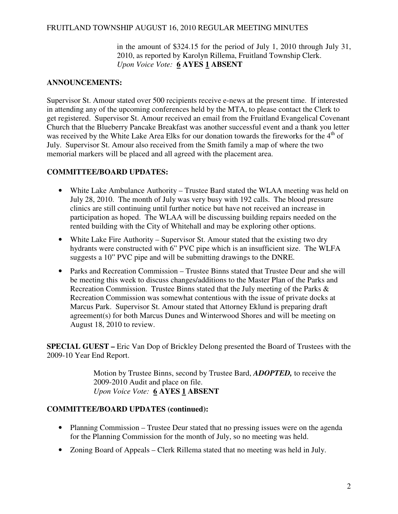### FRUITLAND TOWNSHIP AUGUST 16, 2010 REGULAR MEETING MINUTES

in the amount of \$324.15 for the period of July 1, 2010 through July 31, 2010, as reported by Karolyn Rillema, Fruitland Township Clerk. *Upon Voice Vote:* **6 AYES 1 ABSENT** 

## **ANNOUNCEMENTS:**

Supervisor St. Amour stated over 500 recipients receive e-news at the present time. If interested in attending any of the upcoming conferences held by the MTA, to please contact the Clerk to get registered. Supervisor St. Amour received an email from the Fruitland Evangelical Covenant Church that the Blueberry Pancake Breakfast was another successful event and a thank you letter was received by the White Lake Area Elks for our donation towards the fireworks for the  $4<sup>th</sup>$  of July. Supervisor St. Amour also received from the Smith family a map of where the two memorial markers will be placed and all agreed with the placement area.

### **COMMITTEE/BOARD UPDATES:**

- White Lake Ambulance Authority Trustee Bard stated the WLAA meeting was held on July 28, 2010. The month of July was very busy with 192 calls. The blood pressure clinics are still continuing until further notice but have not received an increase in participation as hoped. The WLAA will be discussing building repairs needed on the rented building with the City of Whitehall and may be exploring other options.
- White Lake Fire Authority Supervisor St. Amour stated that the existing two dry hydrants were constructed with 6" PVC pipe which is an insufficient size. The WLFA suggests a 10" PVC pipe and will be submitting drawings to the DNRE.
- Parks and Recreation Commission Trustee Binns stated that Trustee Deur and she will be meeting this week to discuss changes/additions to the Master Plan of the Parks and Recreation Commission. Trustee Binns stated that the July meeting of the Parks & Recreation Commission was somewhat contentious with the issue of private docks at Marcus Park. Supervisor St. Amour stated that Attorney Eklund is preparing draft agreement(s) for both Marcus Dunes and Winterwood Shores and will be meeting on August 18, 2010 to review.

**SPECIAL GUEST –** Eric Van Dop of Brickley Delong presented the Board of Trustees with the 2009-10 Year End Report.

> Motion by Trustee Binns, second by Trustee Bard, *ADOPTED,* to receive the 2009-2010 Audit and place on file. *Upon Voice Vote:* **6 AYES 1 ABSENT**

### **COMMITTEE/BOARD UPDATES (continued):**

- Planning Commission Trustee Deur stated that no pressing issues were on the agenda for the Planning Commission for the month of July, so no meeting was held.
- Zoning Board of Appeals Clerk Rillema stated that no meeting was held in July.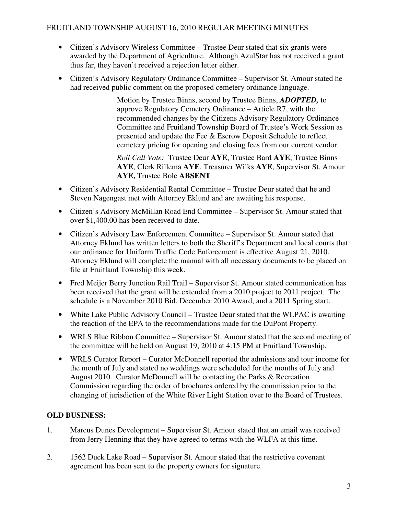# FRUITLAND TOWNSHIP AUGUST 16, 2010 REGULAR MEETING MINUTES

- Citizen's Advisory Wireless Committee Trustee Deur stated that six grants were awarded by the Department of Agriculture. Although AzulStar has not received a grant thus far, they haven't received a rejection letter either.
- Citizen's Advisory Regulatory Ordinance Committee Supervisor St. Amour stated he had received public comment on the proposed cemetery ordinance language.

 Motion by Trustee Binns, second by Trustee Binns, *ADOPTED,* to approve Regulatory Cemetery Ordinance – Article R7, with the recommended changes by the Citizens Advisory Regulatory Ordinance Committee and Fruitland Township Board of Trustee's Work Session as presented and update the Fee & Escrow Deposit Schedule to reflect cemetery pricing for opening and closing fees from our current vendor.

 *Roll Call Vote:* Trustee Deur **AYE**, Trustee Bard **AYE**, Trustee Binns **AYE**, Clerk Rillema **AYE**, Treasurer Wilks **AYE**, Supervisor St. Amour **AYE,** Trustee Bole **ABSENT** 

- Citizen's Advisory Residential Rental Committee Trustee Deur stated that he and Steven Nagengast met with Attorney Eklund and are awaiting his response.
- Citizen's Advisory McMillan Road End Committee Supervisor St. Amour stated that over \$1,400.00 has been received to date.
- Citizen's Advisory Law Enforcement Committee Supervisor St. Amour stated that Attorney Eklund has written letters to both the Sheriff's Department and local courts that our ordinance for Uniform Traffic Code Enforcement is effective August 21, 2010. Attorney Eklund will complete the manual with all necessary documents to be placed on file at Fruitland Township this week.
- Fred Meijer Berry Junction Rail Trail Supervisor St. Amour stated communication has been received that the grant will be extended from a 2010 project to 2011 project. The schedule is a November 2010 Bid, December 2010 Award, and a 2011 Spring start.
- White Lake Public Advisory Council Trustee Deur stated that the WLPAC is awaiting the reaction of the EPA to the recommendations made for the DuPont Property.
- WRLS Blue Ribbon Committee Supervisor St. Amour stated that the second meeting of the committee will be held on August 19, 2010 at 4:15 PM at Fruitland Township.
- WRLS Curator Report Curator McDonnell reported the admissions and tour income for the month of July and stated no weddings were scheduled for the months of July and August 2010. Curator McDonnell will be contacting the Parks & Recreation Commission regarding the order of brochures ordered by the commission prior to the changing of jurisdiction of the White River Light Station over to the Board of Trustees.

# **OLD BUSINESS:**

- 1. Marcus Dunes Development Supervisor St. Amour stated that an email was received from Jerry Henning that they have agreed to terms with the WLFA at this time.
- 2. 1562 Duck Lake Road Supervisor St. Amour stated that the restrictive covenant agreement has been sent to the property owners for signature.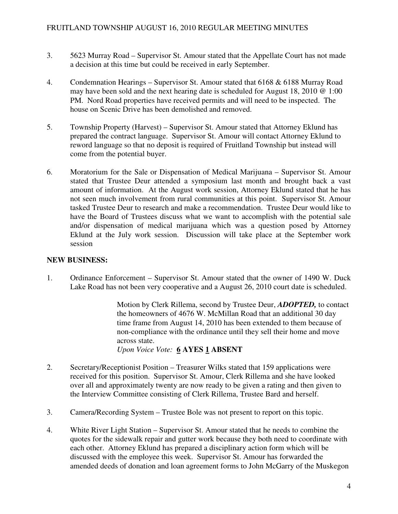- 3. 5623 Murray Road Supervisor St. Amour stated that the Appellate Court has not made a decision at this time but could be received in early September.
- 4. Condemnation Hearings Supervisor St. Amour stated that 6168 & 6188 Murray Road may have been sold and the next hearing date is scheduled for August 18, 2010 @ 1:00 PM. Nord Road properties have received permits and will need to be inspected. The house on Scenic Drive has been demolished and removed.
- 5. Township Property (Harvest) Supervisor St. Amour stated that Attorney Eklund has prepared the contract language. Supervisor St. Amour will contact Attorney Eklund to reword language so that no deposit is required of Fruitland Township but instead will come from the potential buyer.
- 6. Moratorium for the Sale or Dispensation of Medical Marijuana Supervisor St. Amour stated that Trustee Deur attended a symposium last month and brought back a vast amount of information. At the August work session, Attorney Eklund stated that he has not seen much involvement from rural communities at this point. Supervisor St. Amour tasked Trustee Deur to research and make a recommendation. Trustee Deur would like to have the Board of Trustees discuss what we want to accomplish with the potential sale and/or dispensation of medical marijuana which was a question posed by Attorney Eklund at the July work session. Discussion will take place at the September work session

# **NEW BUSINESS:**

1. Ordinance Enforcement – Supervisor St. Amour stated that the owner of 1490 W. Duck Lake Road has not been very cooperative and a August 26, 2010 court date is scheduled.

> Motion by Clerk Rillema, second by Trustee Deur, *ADOPTED,* to contact the homeowners of 4676 W. McMillan Road that an additional 30 day time frame from August 14, 2010 has been extended to them because of non-compliance with the ordinance until they sell their home and move across state. *Upon Voice Vote:* **6 AYES 1 ABSENT**

- 2. Secretary/Receptionist Position Treasurer Wilks stated that 159 applications were received for this position. Supervisor St. Amour, Clerk Rillema and she have looked over all and approximately twenty are now ready to be given a rating and then given to the Interview Committee consisting of Clerk Rillema, Trustee Bard and herself.
- 3. Camera/Recording System Trustee Bole was not present to report on this topic.
- 4. White River Light Station Supervisor St. Amour stated that he needs to combine the quotes for the sidewalk repair and gutter work because they both need to coordinate with each other. Attorney Eklund has prepared a disciplinary action form which will be discussed with the employee this week. Supervisor St. Amour has forwarded the amended deeds of donation and loan agreement forms to John McGarry of the Muskegon